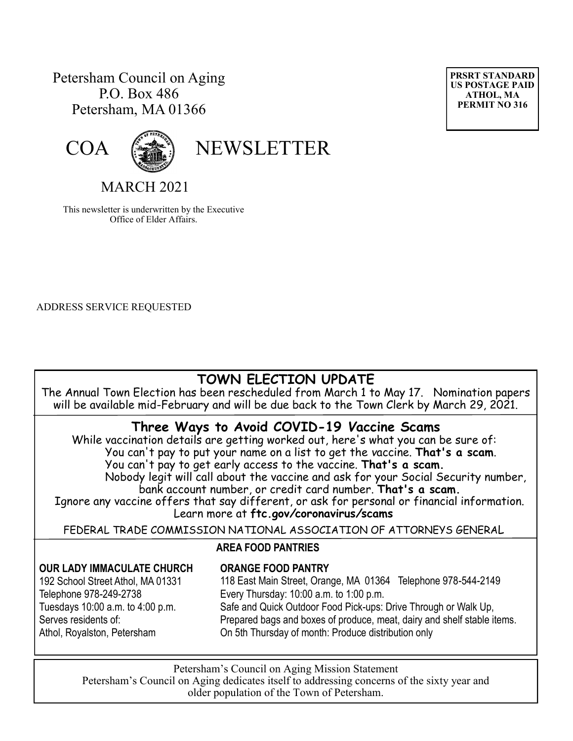#### Petersham Council on Aging P.O. Box 486 Petersham, MA 01366





COA (

MARCH 2021

This newsletter is underwritten by the Executive Office of Elder Affairs.

ADDRESS SERVICE REQUESTED

# **TOWN ELECTION UPDATE**

The Annual Town Election has been rescheduled from March 1 to May 17. Nomination papers will be available mid-February and will be due back to the Town Clerk by March 29, 2021.

## **Three Ways to Avoid COVID-19** *V***accine Scams**

While vaccination details are getting worked out, here's what you can be sure of: You can't pay to put your name on a list to get the *v*accine. **That's a scam**.

You can't pay to get early access to the vaccine. **That's a scam.**

Nobody legit will call about the vaccine and ask for your Social Security number, bank account number, or credit card number. **That's a scam.**

Ignore any vaccine offers that say different, or ask for personal or financial information. Learn more at **ftc.gov***/***coronavirus***/***scams**

FEDERAL TRADE COMMISSION NATIONAL ASSOCIATION OF ATTORNEYS GENERAL

# **OUR LADY IMMACULATE CHURCH**

192 School Street Athol, MA 01331 Telephone 978-249-2738 Tuesdays 10:00 a.m. to 4:00 p.m. Serves residents of:

# Athol, Royalston, Petersham

#### **ORANGE FOOD PANTRY**

 **AREA FOOD PANTRIES**

118 East Main Street, Orange, MA 01364 Telephone 978-544-2149 Every Thursday: 10:00 a.m. to 1:00 p.m. Safe and Quick Outdoor Food Pick-ups: Drive Through or Walk Up, Prepared bags and boxes of produce, meat, dairy and shelf stable items. On 5th Thursday of month: Produce distribution only

Petersham's Council on Aging Mission Statement Petersham's Council on Aging dedicates itself to addressing concerns of the sixty year and older population of the Town of Petersham.

**PRSRT STANDARD US POSTAGE PAID ATHOL, MA PERMIT NO 316**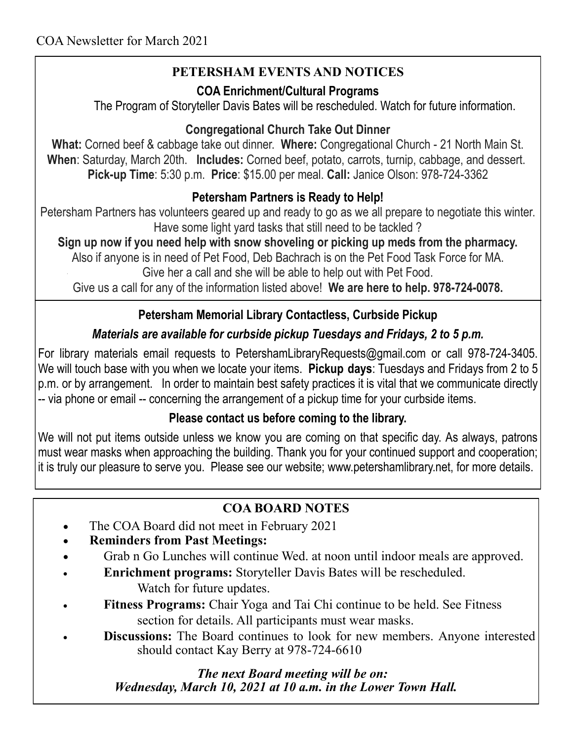# **PETERSHAM EVENTS AND NOTICES**

#### **COA Enrichment/Cultural Programs**

The Program of Storyteller Davis Bates will be rescheduled. Watch for future information.

## **Congregational Church Take Out Dinner**

**What:** Corned beef & cabbage take out dinner. **Where:** Congregational Church - 21 North Main St. **When**: Saturday, March 20th. **Includes:** Corned beef, potato, carrots, turnip, cabbage, and dessert. **Pick-up Time**: 5:30 p.m. **Price**: \$15.00 per meal. **Call:** Janice Olson: 978-724-3362

# **Petersham Partners is Ready to Help!**

Petersham Partners has volunteers geared up and ready to go as we all prepare to negotiate this winter. Have some light yard tasks that still need to be tackled ?

**Sign up now if you need help with snow shoveling or picking up meds from the pharmacy.** Also if anyone is in need of Pet Food, Deb Bachrach is on the Pet Food Task Force for MA.

Give her a call and she will be able to help out with Pet Food.

Give us a call for any of the information listed above! **We are here to help. 978-724-0078.**

# **Petersham Memorial Library Contactless, Curbside Pickup**

# *Materials are available for curbside pickup Tuesdays and Fridays, 2 to 5 p.m.*

For library materials email requests to PetershamLibraryRequests@gmail.com or call 978-724-3405. We will touch base with you when we locate your items. **Pickup days**: Tuesdays and Fridays from 2 to 5 p.m. or by arrangement. In order to maintain best safety practices it is vital that we communicate directly -- via phone or email -- concerning the arrangement of a pickup time for your curbside items.

## **Please contact us before coming to the library.**

We will not put items outside unless we know you are coming on that specific day. As always, patrons must wear masks when approaching the building. Thank you for your continued support and cooperation; it is truly our pleasure to serve you. Please see our website; www.petershamlibrary.net, for more details.

## **COA BOARD NOTES**

- The COA Board did not meet in February 2021
- **Reminders from Past Meetings:**
- Grab n Go Lunches will continue Wed. at noon until indoor meals are approved.
- **Enrichment programs:** Storyteller Davis Bates will be rescheduled.
	- Watch for future updates.
- **Fitness Programs:** Chair Yoga and Tai Chi continue to be held. See Fitness section for details. All participants must wear masks.
- **Discussions:** The Board continues to look for new members. Anyone interested should contact Kay Berry at 978-724-6610

 *The next Board meeting will be on: Wednesday, March 10, 2021 at 10 a.m. in the Lower Town Hall.*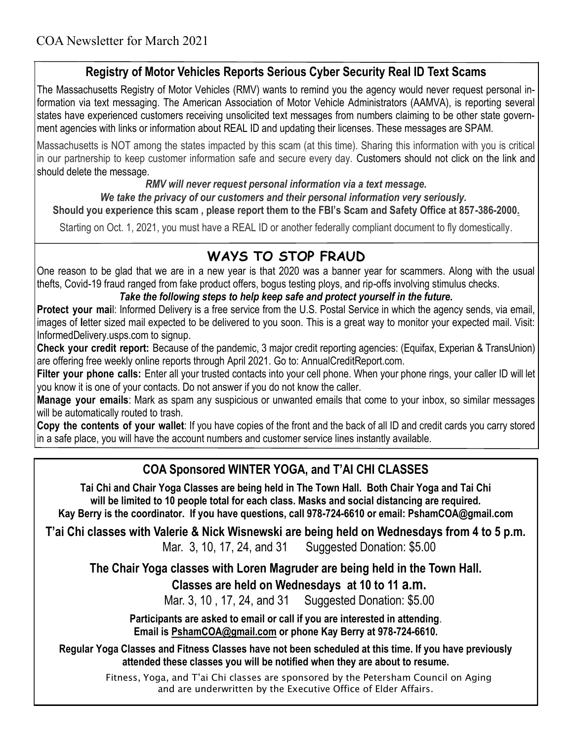#### **Registry of Motor Vehicles Reports Serious Cyber Security Real ID Text Scams**

The Massachusetts Registry of Motor Vehicles (RMV) wants to remind you the agency would never request personal information via text messaging. The American Association of Motor Vehicle Administrators (AAMVA), is reporting several states have experienced customers receiving unsolicited text messages from numbers claiming to be other state government agencies with links or information about REAL ID and updating their licenses. These messages are SPAM.

Massachusetts is NOT among the states impacted by this scam (at this time). Sharing this information with you is critical in our partnership to keep customer information safe and secure every day. Customers should not click on the link and should delete the message.

#### *RMV will never request personal information via a text message.*

*We take the privacy of our customers and their personal information very seriously.* 

**Should you experience this scam , please report them to the FBI's Scam and Safety Office at 857-386-2000.**

Starting on Oct. 1, 2021, you must have a REAL ID or another federally compliant document to fly domestically.

# **WAYS TO STOP FRAUD**

One reason to be glad that we are in a new year is that 2020 was a banner year for scammers. Along with the usual thefts, Covid-19 fraud ranged from fake product offers, bogus testing ploys, and rip-offs involving stimulus checks.

#### *Take the following steps to help keep safe and protect yourself in the future.*

**Protect your mai**l: Informed Delivery is a free service from the U.S. Postal Service in which the agency sends, via email, images of **l**etter sized mail expected to be delivered to you soon. This is a great way to monitor your expected mail. Visit: InformedDelivery.usps.com to signup.

**Check your credit report:** Because of the pandemic, 3 major credit reporting agencies: (Equifax, Experian & TransUnion) are offering free weekly online reports through April 2021. Go to: AnnualCreditReport.com.

Filter your phone calls: Enter all your trusted contacts into your cell phone. When your phone rings, your caller ID will let you know it is one of your contacts. Do not answer if you do not know the caller.

**Manage your emails**: Mark as spam any suspicious or unwanted emails that come to your inbox, so similar messages will be automatically routed to trash.

**Copy the contents of your wallet**: If you have copies of the front and the back of all ID and credit cards you carry stored in a safe place, you will have the account numbers and customer service lines instantly available.

## **COA Sponsored WINTER YOGA, and T'AI CHI CLASSES**

**Tai Chi and Chair Yoga Classes are being held in The Town Hall. Both Chair Yoga and Tai Chi will be limited to 10 people total for each class. Masks and social distancing are required. Kay Berry is the coordinator. If you have questions, call 978-724-6610 or email: PshamCOA@gmail.com**

**T'ai Chi classes with Valerie & Nick Wisnewski are being held on Wednesdays from 4 to 5 p.m.**  Mar. 3, 10, 17, 24, and 31 Suggested Donation: \$5.00

**The Chair Yoga classes with Loren Magruder are being held in the Town Hall.**

 **Classes are held on Wednesdays at 10 to 11 a.m.**

Mar. 3, 10 , 17, 24, and 31 Suggested Donation: \$5.00

**Participants are asked to email or call if you are interested in attending**. **Email is [PshamCOA@gmail.com](mailto:PshamCOA@gmail.com) or phone Kay Berry at 978-724-6610.** 

**Regular Yoga Classes and Fitness Classes have not been scheduled at this time. If you have previously attended these classes you will be notified when they are about to resume.**

> Fitness, Yoga, and T'ai Chi classes are sponsored by the Petersham Council on Aging and are underwritten by the Executive Office of Elder Affairs.